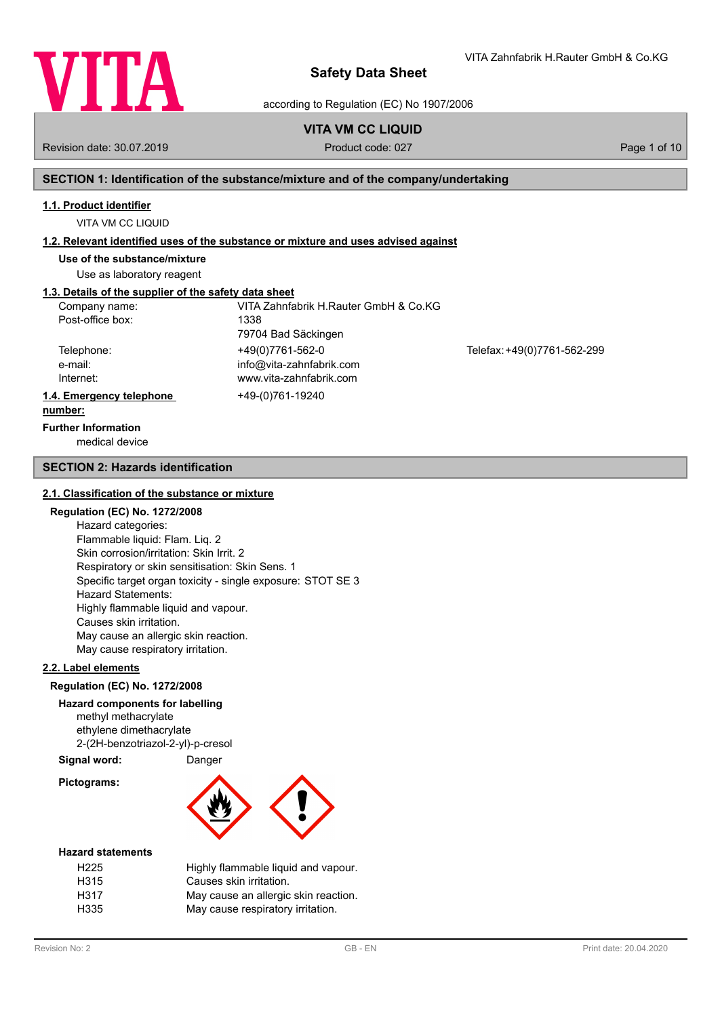

VITA Zahnfabrik H.Rauter GmbH & Co.KG

according to Regulation (EC) No 1907/2006

# **VITA VM CC LIQUID**

Revision date: 30.07.2019 **Product code: 027** Page 1 of 10

## **SECTION 1: Identification of the substance/mixture and of the company/undertaking**

### **1.1. Product identifier**

VITA VM CC LIQUID

## **1.2. Relevant identified uses of the substance or mixture and uses advised against**

**Use of the substance/mixture**

Use as laboratory reagent

# **1.3. Details of the supplier of the safety data sheet**

| Company name:            | VITA Zahnfabrik H.Rauter GmbH & Co.KG |                             |
|--------------------------|---------------------------------------|-----------------------------|
| Post-office box:         | 1338                                  |                             |
|                          | 79704 Bad Säckingen                   |                             |
| Telephone:               | +49(0)7761-562-0                      | Telefax: +49(0)7761-562-299 |
| e-mail:                  | info@vita-zahnfabrik.com              |                             |
| Internet:                | www.vita-zahnfabrik.com               |                             |
| 1.4. Emergency telephone | +49-(0)761-19240                      |                             |
| number:                  |                                       |                             |

# **Further Information**

medical device

## **SECTION 2: Hazards identification**

### **2.1. Classification of the substance or mixture**

## **Regulation (EC) No. 1272/2008**

Hazard categories: Flammable liquid: Flam. Liq. 2 Skin corrosion/irritation: Skin Irrit. 2 Respiratory or skin sensitisation: Skin Sens. 1 Specific target organ toxicity - single exposure: STOT SE 3 Hazard Statements: Highly flammable liquid and vapour. Causes skin irritation. May cause an allergic skin reaction. May cause respiratory irritation.

## **2.2. Label elements**

### **Regulation (EC) No. 1272/2008**

### **Hazard components for labelling**

methyl methacrylate ethylene dimethacrylate 2-(2H-benzotriazol-2-yl)-p-cresol

# **Signal word:** Danger

**Pictograms:**



#### **Hazard statements**

| H <sub>225</sub> | Highly flammable liquid and vapour.  |
|------------------|--------------------------------------|
| H315             | Causes skin irritation.              |
| H317             | May cause an allergic skin reaction. |
| H335             | May cause respiratory irritation.    |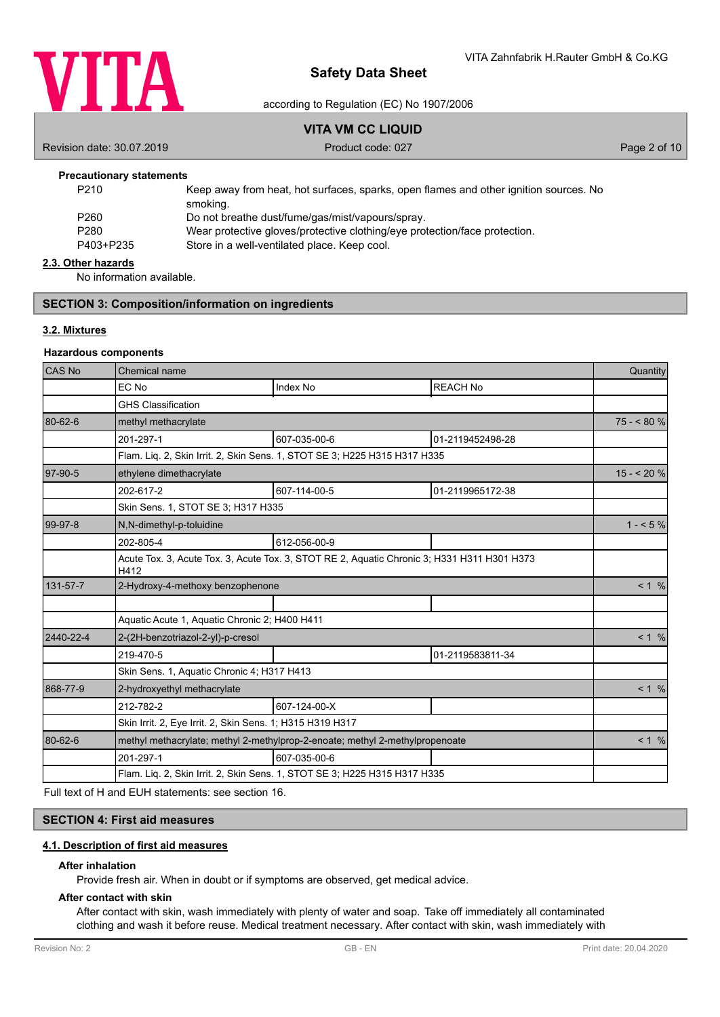

## according to Regulation (EC) No 1907/2006

# **VITA VM CC LIQUID**

Revision date: 30.07.2019 **Product code: 027** Product code: 027 **Page 2 of 10** 

## **Precautionary statements**

| P <sub>210</sub> | Keep away from heat, hot surfaces, sparks, open flames and other ignition sources. No |
|------------------|---------------------------------------------------------------------------------------|
|                  | smoking.                                                                              |
| P260             | Do not breathe dust/fume/gas/mist/vapours/spray.                                      |
| P280             | Wear protective gloves/protective clothing/eye protection/face protection.            |
| P403+P235        | Store in a well-ventilated place. Keep cool.                                          |
|                  |                                                                                       |

#### **2.3. Other hazards**

No information available.

## **SECTION 3: Composition/information on ingredients**

## **3.2. Mixtures**

### **Hazardous components**

| <b>CAS No</b> | Chemical name                                                                                       |                 | Quantity         |            |
|---------------|-----------------------------------------------------------------------------------------------------|-----------------|------------------|------------|
|               | EC No                                                                                               | <b>Index No</b> | <b>REACH No</b>  |            |
|               | <b>GHS Classification</b>                                                                           |                 |                  |            |
| 80-62-6       | methyl methacrylate                                                                                 |                 |                  | $75 - 80%$ |
|               | 201-297-1                                                                                           | 607-035-00-6    | 01-2119452498-28 |            |
|               | Flam. Lig. 2, Skin Irrit. 2, Skin Sens. 1, STOT SE 3; H225 H315 H317 H335                           |                 |                  |            |
| 97-90-5       | ethylene dimethacrylate                                                                             |                 |                  | $15 - 20%$ |
|               | 202-617-2                                                                                           | 607-114-00-5    | 01-2119965172-38 |            |
|               | Skin Sens. 1, STOT SE 3; H317 H335                                                                  |                 |                  |            |
| 99-97-8       | N,N-dimethyl-p-toluidine                                                                            |                 |                  | $1 - 5\%$  |
|               | 202-805-4                                                                                           | 612-056-00-9    |                  |            |
|               | Acute Tox. 3, Acute Tox. 3, Acute Tox. 3, STOT RE 2, Aquatic Chronic 3; H331 H311 H301 H373<br>H412 |                 |                  |            |
| 131-57-7      | 2-Hydroxy-4-methoxy benzophenone                                                                    |                 |                  | < 1 %      |
|               |                                                                                                     |                 |                  |            |
|               | Aquatic Acute 1, Aquatic Chronic 2; H400 H411                                                       |                 |                  |            |
| 2440-22-4     | 2-(2H-benzotriazol-2-yl)-p-cresol                                                                   |                 |                  | < 1 %      |
|               | 219-470-5                                                                                           |                 | 01-2119583811-34 |            |
|               | Skin Sens. 1, Aquatic Chronic 4; H317 H413                                                          |                 |                  |            |
| 868-77-9      | 2-hydroxyethyl methacrylate                                                                         |                 |                  | < 1 %      |
|               | 212-782-2                                                                                           | 607-124-00-X    |                  |            |
|               | Skin Irrit. 2, Eye Irrit. 2, Skin Sens. 1; H315 H319 H317                                           |                 |                  |            |
| 80-62-6       | methyl methacrylate; methyl 2-methylprop-2-enoate; methyl 2-methylpropenoate                        |                 |                  | < 1 %      |
|               | 201-297-1                                                                                           | 607-035-00-6    |                  |            |
|               | Flam. Liq. 2, Skin Irrit. 2, Skin Sens. 1, STOT SE 3; H225 H315 H317 H335                           |                 |                  |            |

Full text of H and EUH statements: see section 16.

## **SECTION 4: First aid measures**

## **4.1. Description of first aid measures**

### **After inhalation**

Provide fresh air. When in doubt or if symptoms are observed, get medical advice.

#### **After contact with skin**

After contact with skin, wash immediately with plenty of water and soap. Take off immediately all contaminated clothing and wash it before reuse. Medical treatment necessary. After contact with skin, wash immediately with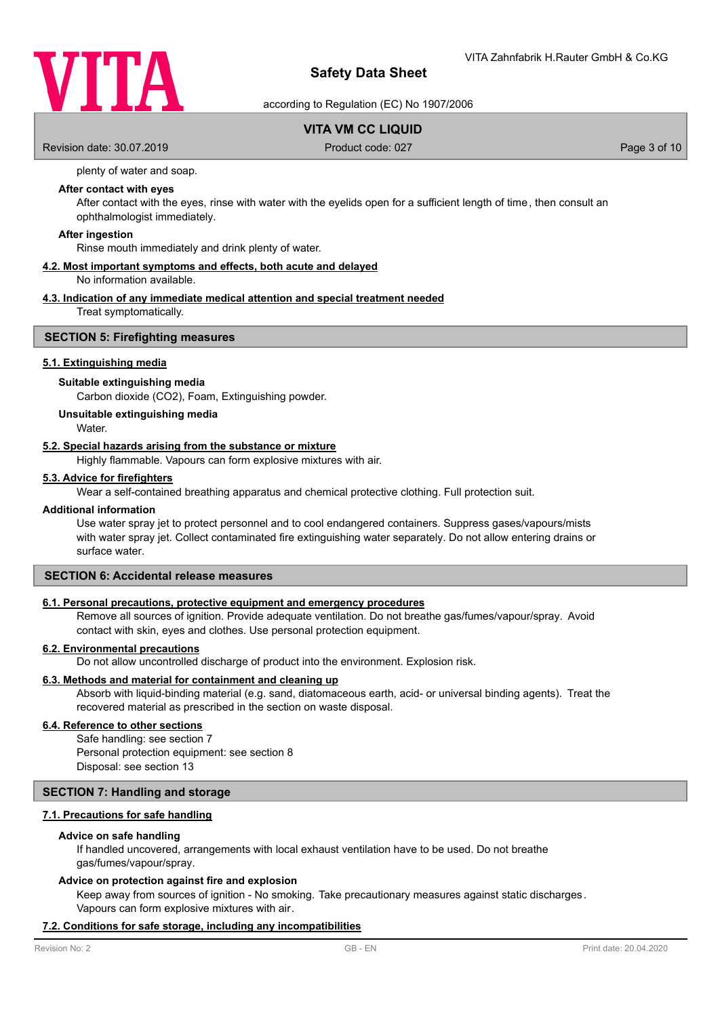

according to Regulation (EC) No 1907/2006

# **VITA VM CC LIQUID**

Revision date: 30.07.2019 **Product code: 027** Page 3 of 10

plenty of water and soap.

## **After contact with eyes**

After contact with the eyes, rinse with water with the eyelids open for a sufficient length of time, then consult an ophthalmologist immediately.

#### **After ingestion**

Rinse mouth immediately and drink plenty of water.

## **4.2. Most important symptoms and effects, both acute and delayed**

No information available.

## **4.3. Indication of any immediate medical attention and special treatment needed**

Treat symptomatically.

## **SECTION 5: Firefighting measures**

## **5.1. Extinguishing media**

#### **Suitable extinguishing media**

Carbon dioxide (CO2), Foam, Extinguishing powder.

#### **Unsuitable extinguishing media**

**Water** 

## **5.2. Special hazards arising from the substance or mixture**

Highly flammable. Vapours can form explosive mixtures with air.

### **5.3. Advice for firefighters**

Wear a self-contained breathing apparatus and chemical protective clothing. Full protection suit.

#### **Additional information**

Use water spray jet to protect personnel and to cool endangered containers. Suppress gases/vapours/mists with water spray jet. Collect contaminated fire extinguishing water separately. Do not allow entering drains or surface water.

## **SECTION 6: Accidental release measures**

### **6.1. Personal precautions, protective equipment and emergency procedures**

Remove all sources of ignition. Provide adequate ventilation. Do not breathe gas/fumes/vapour/spray. Avoid contact with skin, eyes and clothes. Use personal protection equipment.

## **6.2. Environmental precautions**

Do not allow uncontrolled discharge of product into the environment. Explosion risk.

### **6.3. Methods and material for containment and cleaning up**

Absorb with liquid-binding material (e.g. sand, diatomaceous earth, acid- or universal binding agents). Treat the recovered material as prescribed in the section on waste disposal.

## **6.4. Reference to other sections**

Safe handling: see section 7 Personal protection equipment: see section 8 Disposal: see section 13

## **SECTION 7: Handling and storage**

## **7.1. Precautions for safe handling**

#### **Advice on safe handling**

If handled uncovered, arrangements with local exhaust ventilation have to be used. Do not breathe gas/fumes/vapour/spray.

#### **Advice on protection against fire and explosion**

Keep away from sources of ignition - No smoking. Take precautionary measures against static discharges. Vapours can form explosive mixtures with air.

#### **7.2. Conditions for safe storage, including any incompatibilities**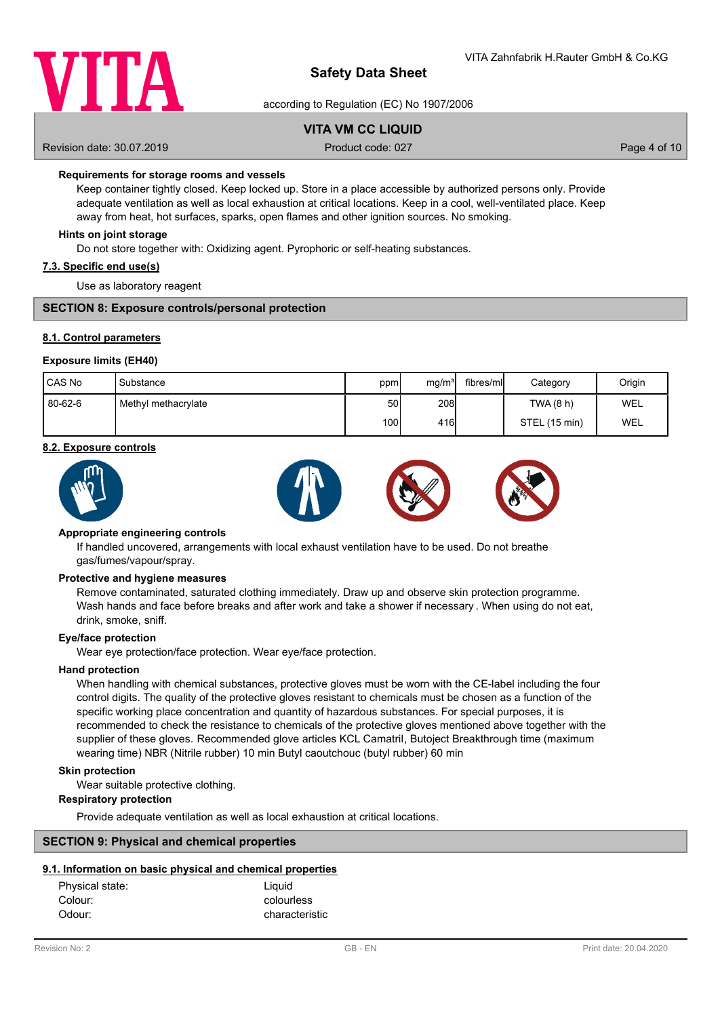

according to Regulation (EC) No 1907/2006

# **VITA VM CC LIQUID**

Revision date: 30.07.2019 **Product code: 027** Page 4 of 10

## **Requirements for storage rooms and vessels**

Keep container tightly closed. Keep locked up. Store in a place accessible by authorized persons only. Provide adequate ventilation as well as local exhaustion at critical locations. Keep in a cool, well-ventilated place. Keep away from heat, hot surfaces, sparks, open flames and other ignition sources. No smoking.

### **Hints on joint storage**

Do not store together with: Oxidizing agent. Pyrophoric or self-heating substances.

### **7.3. Specific end use(s)**

Use as laboratory reagent

## **SECTION 8: Exposure controls/personal protection**

## **8.1. Control parameters**

### **Exposure limits (EH40)**

| CAS No  | Substance           | ppm  | mq/m <sup>3</sup> | fibres/mll | Category      | Origin     |
|---------|---------------------|------|-------------------|------------|---------------|------------|
| 80-62-6 | Methyl methacrylate | 50   | 208l              |            | TWA(8 h)      | <b>WEL</b> |
|         |                     | 100l | 416               |            | STEL (15 min) | WEL        |

#### **8.2. Exposure controls**



### **Appropriate engineering controls**

If handled uncovered, arrangements with local exhaust ventilation have to be used. Do not breathe gas/fumes/vapour/spray.

#### **Protective and hygiene measures**

Remove contaminated, saturated clothing immediately. Draw up and observe skin protection programme. Wash hands and face before breaks and after work and take a shower if necessary . When using do not eat, drink, smoke, sniff.

### **Eye/face protection**

Wear eye protection/face protection. Wear eye/face protection.

### **Hand protection**

When handling with chemical substances, protective gloves must be worn with the CE-label including the four control digits. The quality of the protective gloves resistant to chemicals must be chosen as a function of the specific working place concentration and quantity of hazardous substances. For special purposes, it is recommended to check the resistance to chemicals of the protective gloves mentioned above together with the supplier of these gloves. Recommended glove articles KCL Camatril, Butoject Breakthrough time (maximum wearing time) NBR (Nitrile rubber) 10 min Butyl caoutchouc (butyl rubber) 60 min

### **Skin protection**

Wear suitable protective clothing.

### **Respiratory protection**

Provide adequate ventilation as well as local exhaustion at critical locations.

### **SECTION 9: Physical and chemical properties**

### **9.1. Information on basic physical and chemical properties**

| Physical state: | Liquid         |
|-----------------|----------------|
| Colour:         | colourless     |
| Odour:          | characteristic |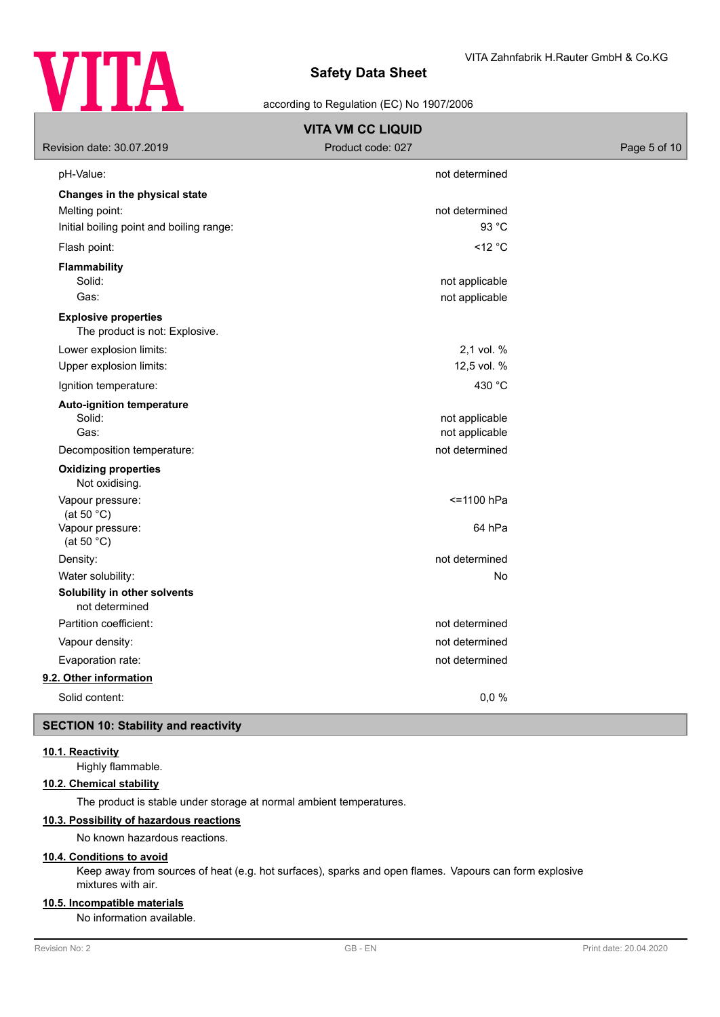

## according to Regulation (EC) No 1907/2006

| <b>VITA VM CC LIQUID</b>                                      |                     |              |  |  |  |
|---------------------------------------------------------------|---------------------|--------------|--|--|--|
| Revision date: 30.07.2019                                     | Product code: 027   | Page 5 of 10 |  |  |  |
| pH-Value:                                                     | not determined      |              |  |  |  |
| Changes in the physical state                                 |                     |              |  |  |  |
| Melting point:                                                | not determined      |              |  |  |  |
| Initial boiling point and boiling range:                      | 93 °C               |              |  |  |  |
| Flash point:                                                  | $<$ 12 $^{\circ}$ C |              |  |  |  |
| <b>Flammability</b>                                           |                     |              |  |  |  |
| Solid:                                                        | not applicable      |              |  |  |  |
| Gas:                                                          | not applicable      |              |  |  |  |
| <b>Explosive properties</b><br>The product is not: Explosive. |                     |              |  |  |  |
| Lower explosion limits:                                       | 2,1 vol. %          |              |  |  |  |
| Upper explosion limits:                                       | 12,5 vol. %         |              |  |  |  |
| Ignition temperature:                                         | 430 °C              |              |  |  |  |
| <b>Auto-ignition temperature</b>                              |                     |              |  |  |  |
| Solid:                                                        | not applicable      |              |  |  |  |
| Gas:                                                          | not applicable      |              |  |  |  |
| Decomposition temperature:                                    | not determined      |              |  |  |  |
| <b>Oxidizing properties</b><br>Not oxidising.                 |                     |              |  |  |  |
| Vapour pressure:                                              | <=1100 hPa          |              |  |  |  |
| (at 50 $^{\circ}$ C)<br>Vapour pressure:                      | 64 hPa              |              |  |  |  |
| (at 50 $^{\circ}$ C)                                          |                     |              |  |  |  |
| Density:                                                      | not determined      |              |  |  |  |
| Water solubility:                                             | No                  |              |  |  |  |
| Solubility in other solvents<br>not determined                |                     |              |  |  |  |
| Partition coefficient:                                        | not determined      |              |  |  |  |
| Vapour density:                                               | not determined      |              |  |  |  |
| Evaporation rate:                                             | not determined      |              |  |  |  |
| 9.2. Other information                                        |                     |              |  |  |  |
| Solid content:                                                | 0,0%                |              |  |  |  |

## **SECTION 10: Stability and reactivity**

## **10.1. Reactivity**

Highly flammable.

# **10.2. Chemical stability**

The product is stable under storage at normal ambient temperatures.

## **10.3. Possibility of hazardous reactions**

No known hazardous reactions.

## **10.4. Conditions to avoid**

Keep away from sources of heat (e.g. hot surfaces), sparks and open flames. Vapours can form explosive mixtures with air.

## **10.5. Incompatible materials**

No information available.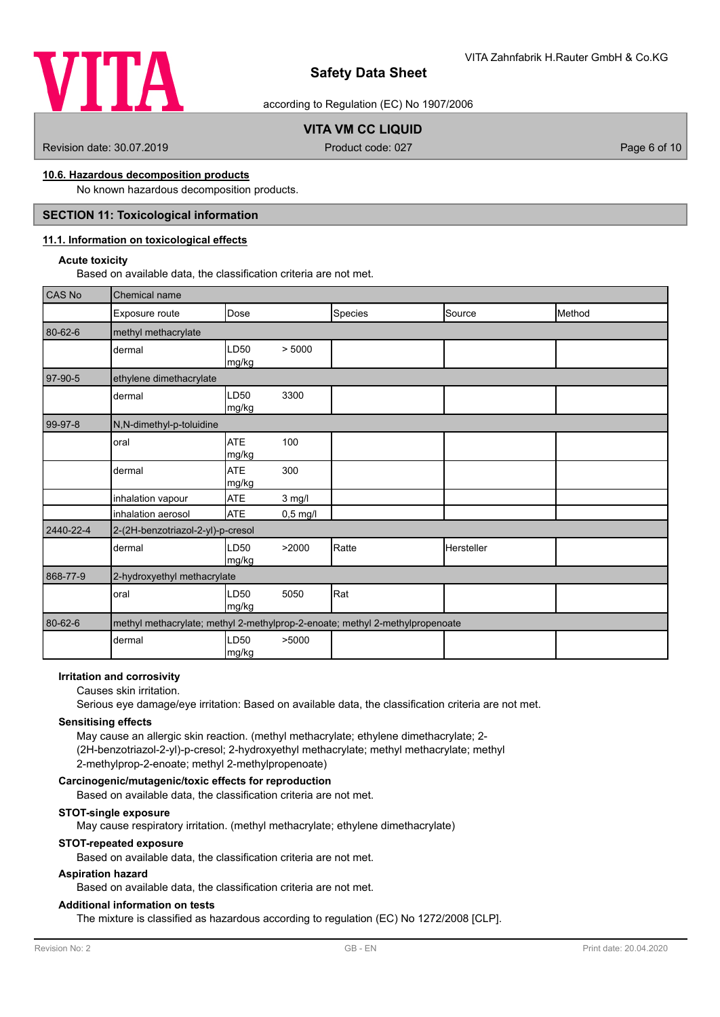

according to Regulation (EC) No 1907/2006

# **VITA VM CC LIQUID**

Revision date: 30.07.2019 **Product code: 027** Page 6 of 10

## **10.6. Hazardous decomposition products**

No known hazardous decomposition products.

## **SECTION 11: Toxicological information**

## **11.1. Information on toxicological effects**

#### **Acute toxicity**

Based on available data, the classification criteria are not met.

| CAS No    | Chemical name                     |                     |            |                                                                              |                   |        |
|-----------|-----------------------------------|---------------------|------------|------------------------------------------------------------------------------|-------------------|--------|
|           | Exposure route                    | <b>I</b> Dose       |            | Species                                                                      | Source            | Method |
| 80-62-6   | methyl methacrylate               |                     |            |                                                                              |                   |        |
|           | dermal                            | LD50<br>mg/kg       | > 5000     |                                                                              |                   |        |
| 97-90-5   | ethylene dimethacrylate           |                     |            |                                                                              |                   |        |
|           | dermal                            | LD50<br>mg/kg       | 3300       |                                                                              |                   |        |
| 99-97-8   | N,N-dimethyl-p-toluidine          |                     |            |                                                                              |                   |        |
|           | oral                              | <b>ATE</b><br>mg/kg | 100        |                                                                              |                   |        |
|           | dermal                            | <b>ATE</b><br>mg/kg | 300        |                                                                              |                   |        |
|           | inhalation vapour                 | <b>ATE</b>          | $3$ mg/l   |                                                                              |                   |        |
|           | inhalation aerosol                | <b>ATE</b>          | $0,5$ mg/l |                                                                              |                   |        |
| 2440-22-4 | 2-(2H-benzotriazol-2-yl)-p-cresol |                     |            |                                                                              |                   |        |
|           | dermal                            | LD50<br>mg/kg       | >2000      | Ratte                                                                        | <b>Hersteller</b> |        |
| 868-77-9  | 2-hydroxyethyl methacrylate       |                     |            |                                                                              |                   |        |
|           | oral                              | LD50<br>mg/kg       | 5050       | Rat                                                                          |                   |        |
| 80-62-6   |                                   |                     |            | methyl methacrylate; methyl 2-methylprop-2-enoate; methyl 2-methylpropenoate |                   |        |
|           | dermal                            | LD50<br>mg/kg       | >5000      |                                                                              |                   |        |

### **Irritation and corrosivity**

#### Causes skin irritation.

Serious eye damage/eye irritation: Based on available data, the classification criteria are not met.

#### **Sensitising effects**

May cause an allergic skin reaction. (methyl methacrylate; ethylene dimethacrylate; 2- (2H-benzotriazol-2-yl)-p-cresol; 2-hydroxyethyl methacrylate; methyl methacrylate; methyl 2-methylprop-2-enoate; methyl 2-methylpropenoate)

## **Carcinogenic/mutagenic/toxic effects for reproduction**

Based on available data, the classification criteria are not met.

## **STOT-single exposure**

May cause respiratory irritation. (methyl methacrylate; ethylene dimethacrylate)

## **STOT-repeated exposure**

Based on available data, the classification criteria are not met.

### **Aspiration hazard**

Based on available data, the classification criteria are not met.

## **Additional information on tests**

The mixture is classified as hazardous according to regulation (EC) No 1272/2008 [CLP].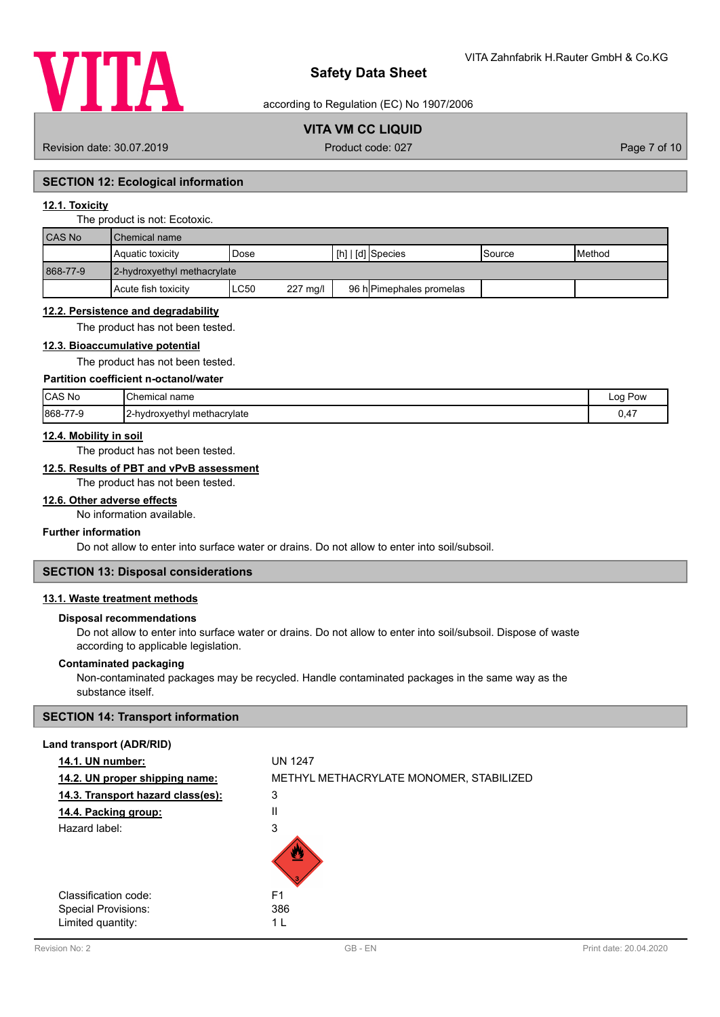

according to Regulation (EC) No 1907/2006

# **VITA VM CC LIQUID**

Revision date: 30.07.2019 **Product code: 027** Product code: 027 **Page 7 of 10** 

## **SECTION 12: Ecological information**

# **12.1. Toxicity**

#### The product is not: Ecotoxic.

| <b>CAS No</b> | Chemical name               |                  |                                               |               |                 |  |
|---------------|-----------------------------|------------------|-----------------------------------------------|---------------|-----------------|--|
|               | Aquatic toxicity            | Dose             | $\lfloor$ [h] $\rfloor$ [d] $\rfloor$ Species | <b>Source</b> | <b>I</b> Method |  |
| 868-77-9      | 2-hydroxyethyl methacrylate |                  |                                               |               |                 |  |
|               | Acute fish toxicity         | ∟C50<br>227 mg/l | 96 h Pimephales promelas                      |               |                 |  |

#### **12.2. Persistence and degradability**

The product has not been tested.

## **12.3. Bioaccumulative potential**

The product has not been tested.

## **Partition coefficient n-octanol/water**

| CAS No<br>___ | <b>Chemical</b><br>name<br>$\sim$ $\sim$ | Pow<br>Log     |
|---------------|------------------------------------------|----------------|
| 868-77-9      | 2-hydroxyethyl methacrylate              | $\mathbf{A}^-$ |
| 7-ম           | . .                                      | .              |

## **12.4. Mobility in soil**

The product has not been tested.

## **12.5. Results of PBT and vPvB assessment**

The product has not been tested.

### **12.6. Other adverse effects**

No information available.

### **Further information**

Do not allow to enter into surface water or drains. Do not allow to enter into soil/subsoil.

# **SECTION 13: Disposal considerations**

# **13.1. Waste treatment methods**

#### **Disposal recommendations**

Do not allow to enter into surface water or drains. Do not allow to enter into soil/subsoil. Dispose of waste according to applicable legislation.

## **Contaminated packaging**

Non-contaminated packages may be recycled. Handle contaminated packages in the same way as the substance itself.

## **SECTION 14: Transport information**

### **Land transport (ADR/RID)**

| 14.1. UN number:                  | <b>UN 1247</b>                          |
|-----------------------------------|-----------------------------------------|
| 14.2. UN proper shipping name:    | METHYL METHACRYLATE MONOMER, STABILIZED |
| 14.3. Transport hazard class(es): | 3                                       |
| 14.4. Packing group:              | Ш                                       |
| Hazard label:                     | 3                                       |
|                                   |                                         |
| Classification code:              | F <sub>1</sub>                          |
| Special Provisions:               | 386                                     |
| Limited quantity:                 | 1 I                                     |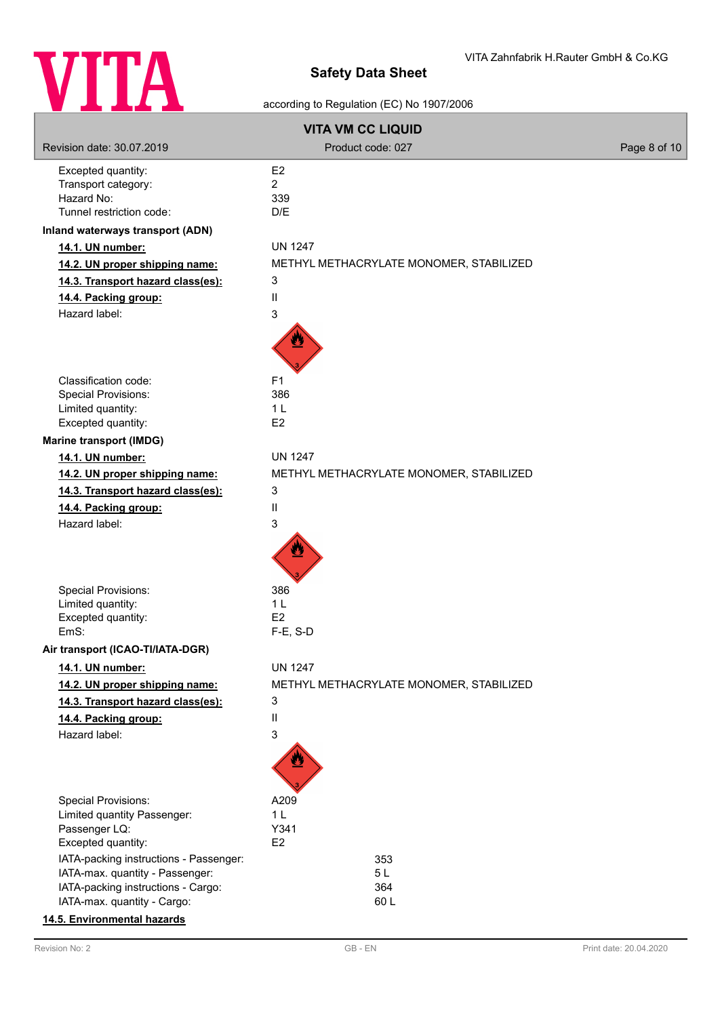

# according to Regulation (EC) No 1907/2006

| <b>VITA VM CC LIQUID</b>                                              |                                         |              |  |  |
|-----------------------------------------------------------------------|-----------------------------------------|--------------|--|--|
| Revision date: 30.07.2019                                             | Product code: 027                       | Page 8 of 10 |  |  |
| Excepted quantity:                                                    | E <sub>2</sub>                          |              |  |  |
| Transport category:                                                   | $\overline{2}$                          |              |  |  |
| Hazard No:                                                            | 339                                     |              |  |  |
| Tunnel restriction code:                                              | D/E                                     |              |  |  |
| Inland waterways transport (ADN)                                      |                                         |              |  |  |
| 14.1. UN number:                                                      | <b>UN 1247</b>                          |              |  |  |
| 14.2. UN proper shipping name:                                        | METHYL METHACRYLATE MONOMER, STABILIZED |              |  |  |
| 14.3. Transport hazard class(es):                                     | 3                                       |              |  |  |
| 14.4. Packing group:                                                  | $\mathbf{II}$                           |              |  |  |
| Hazard label:                                                         | 3                                       |              |  |  |
|                                                                       |                                         |              |  |  |
| Classification code:                                                  | F <sub>1</sub>                          |              |  |  |
| Special Provisions:                                                   | 386                                     |              |  |  |
| Limited quantity:                                                     | 1 <sub>L</sub>                          |              |  |  |
| Excepted quantity:                                                    | E <sub>2</sub>                          |              |  |  |
| <b>Marine transport (IMDG)</b>                                        |                                         |              |  |  |
| 14.1. UN number:                                                      | <b>UN 1247</b>                          |              |  |  |
| 14.2. UN proper shipping name:                                        | METHYL METHACRYLATE MONOMER, STABILIZED |              |  |  |
| 14.3. Transport hazard class(es):                                     | 3                                       |              |  |  |
| 14.4. Packing group:                                                  | $\mathbf{II}$                           |              |  |  |
| Hazard label:                                                         | 3                                       |              |  |  |
|                                                                       |                                         |              |  |  |
| Special Provisions:                                                   | 386                                     |              |  |  |
| Limited quantity:                                                     | 1 <sub>L</sub>                          |              |  |  |
| Excepted quantity:                                                    | E <sub>2</sub>                          |              |  |  |
| EmS:                                                                  | F-E, S-D                                |              |  |  |
| Air transport (ICAO-TI/IATA-DGR)                                      |                                         |              |  |  |
| 14.1. UN number:                                                      | <b>UN 1247</b>                          |              |  |  |
| 14.2. UN proper shipping name:                                        | METHYL METHACRYLATE MONOMER, STABILIZED |              |  |  |
| 14.3. Transport hazard class(es):                                     | 3                                       |              |  |  |
| 14.4. Packing group:                                                  | Ш                                       |              |  |  |
| Hazard label:                                                         | 3                                       |              |  |  |
|                                                                       |                                         |              |  |  |
| <b>Special Provisions:</b>                                            | A209                                    |              |  |  |
| Limited quantity Passenger:                                           | 1 <sub>L</sub>                          |              |  |  |
| Passenger LQ:                                                         | Y341                                    |              |  |  |
| Excepted quantity:                                                    | E <sub>2</sub>                          |              |  |  |
| IATA-packing instructions - Passenger:                                | 353                                     |              |  |  |
| IATA-max. quantity - Passenger:<br>IATA-packing instructions - Cargo: | 5L<br>364                               |              |  |  |
| IATA-max. quantity - Cargo:                                           | 60L                                     |              |  |  |
| 14.5. Environmental hazards                                           |                                         |              |  |  |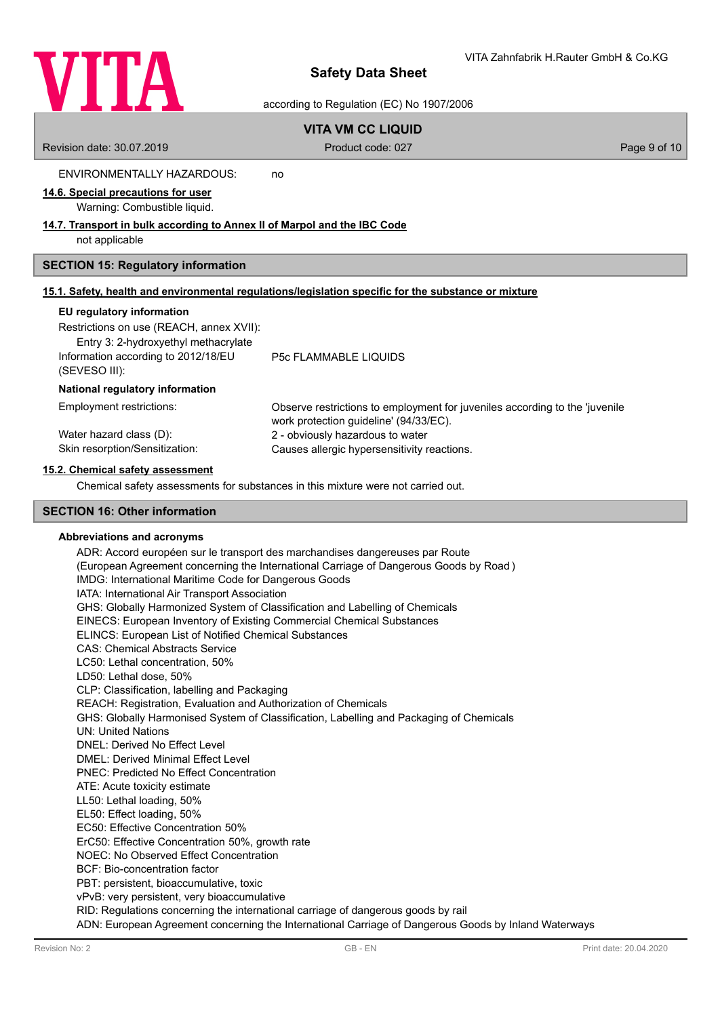

according to Regulation (EC) No 1907/2006

# **VITA VM CC LIQUID**

Revision date: 30.07.2019 **Product code: 027** Page 9 of 10

ENVIRONMENTALLY HAZARDOUS: no

# **14.6. Special precautions for user**

Warning: Combustible liquid.

## **14.7. Transport in bulk according to Annex II of Marpol and the IBC Code**

not applicable

## **SECTION 15: Regulatory information**

|  | 15.1. Safety, health and environmental regulations/legislation specific for the substance or mixture |  |  |  |
|--|------------------------------------------------------------------------------------------------------|--|--|--|
|  |                                                                                                      |  |  |  |

### **EU regulatory information**

(SEVESO III):

Restrictions on use (REACH, annex XVII):

Entry 3: 2-hydroxyethyl methacrylate Information according to 2012/18/EU

P5c FLAMMABLE LIQUIDS

### **National regulatory information**

| Employment restrictions:       | Observe restrictions to employment for juveniles according to the 'juvenile'<br>work protection quideline' (94/33/EC). |
|--------------------------------|------------------------------------------------------------------------------------------------------------------------|
| Water hazard class (D):        | 2 - obviously hazardous to water                                                                                       |
| Skin resorption/Sensitization: | Causes allergic hypersensitivity reactions.                                                                            |

## **15.2. Chemical safety assessment**

Chemical safety assessments for substances in this mixture were not carried out.

## **SECTION 16: Other information**

### **Abbreviations and acronyms**

ADR: Accord européen sur le transport des marchandises dangereuses par Route (European Agreement concerning the International Carriage of Dangerous Goods by Road ) IMDG: International Maritime Code for Dangerous Goods IATA: International Air Transport Association GHS: Globally Harmonized System of Classification and Labelling of Chemicals EINECS: European Inventory of Existing Commercial Chemical Substances ELINCS: European List of Notified Chemical Substances CAS: Chemical Abstracts Service LC50: Lethal concentration, 50% LD50: Lethal dose, 50% CLP: Classification, labelling and Packaging REACH: Registration, Evaluation and Authorization of Chemicals GHS: Globally Harmonised System of Classification, Labelling and Packaging of Chemicals UN: United Nations DNEL: Derived No Effect Level DMEL: Derived Minimal Effect Level PNEC: Predicted No Effect Concentration ATE: Acute toxicity estimate LL50: Lethal loading, 50% EL50: Effect loading, 50% EC50: Effective Concentration 50% ErC50: Effective Concentration 50%, growth rate NOEC: No Observed Effect Concentration BCF: Bio-concentration factor PBT: persistent, bioaccumulative, toxic vPvB: very persistent, very bioaccumulative RID: Regulations concerning the international carriage of dangerous goods by rail ADN: European Agreement concerning the International Carriage of Dangerous Goods by Inland Waterways